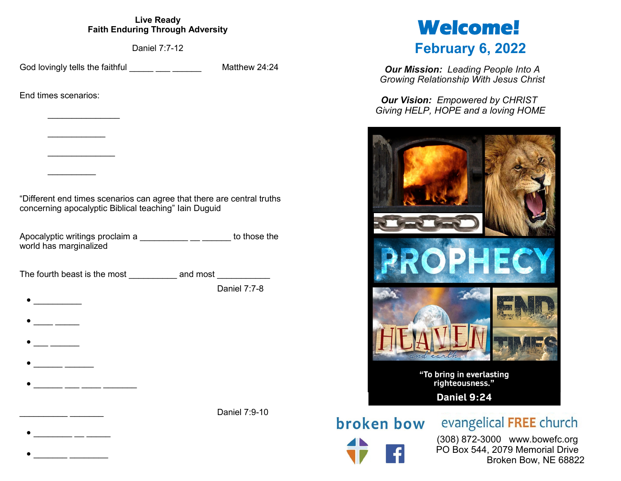## **Live Ready Faith Enduring Through Adversity**

Daniel 7:7-12

God lovingly tells the faithful **Example 24:24** Matthew 24:24

 $\frac{1}{2}$ 

 $\frac{1}{2}$ 

 $\frac{1}{2}$ 

 $\bullet$ 

• \_\_\_\_ \_\_\_\_\_

 $\bullet$ 

• \_\_\_\_\_\_ \_\_\_\_\_\_

• \_\_\_\_\_\_\_\_ \_\_ \_\_\_\_\_

• \_\_\_\_\_\_\_ \_\_\_\_\_\_\_\_

 $\frac{1}{2}$ 

End times scenarios:

"Different end times scenarios can agree that there are central truths concerning apocalyptic Biblical teaching" Iain Duguid

Apocalyptic writings proclaim a \_\_\_\_\_\_\_\_\_\_\_\_\_\_ \_\_\_\_\_\_ to those the world has marginalized

The fourth beast is the most example and most  $\qquad$  and most

Daniel 7:7-8

Daniel 7:9-10

# **Welcome! February 6, 2022**

*Our Mission: Leading People Into A Growing Relationship With Jesus Christ*

*Our Vision: Empowered by CHRIST Giving HELP, HOPE and a loving HOME*



**broken bow** evangelical FREE church

 (308) 872-3000 www.bowefc.org PO Box 544, 2079 Memorial Drive Broken Bow, NE 68822